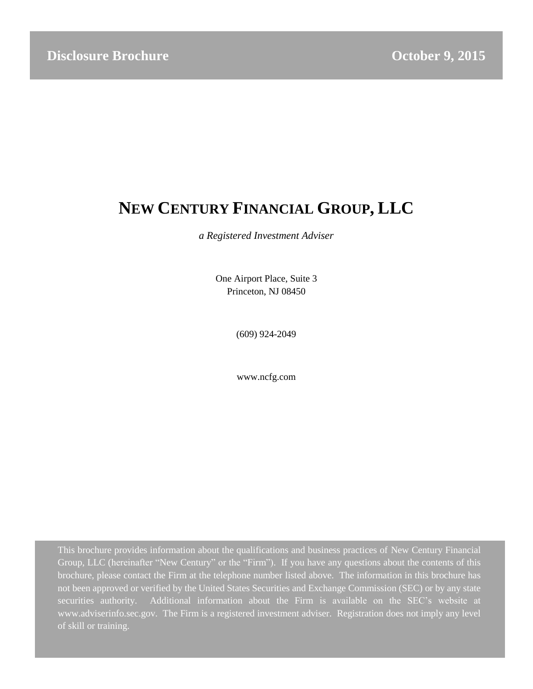# **NEW CENTURY FINANCIAL GROUP, LLC**

*a Registered Investment Adviser*

One Airport Place, Suite 3 Princeton, NJ 08450

(609) 924-2049

www.ncfg.com

This brochure provides information about the qualifications and business practices of New Century Financial Group, LLC (hereinafter "New Century" or the "Firm"). If you have any questions about the contents of this brochure, please contact the Firm at the telephone number listed above. The information in this brochure has not been approved or verified by the United States Securities and Exchange Commission (SEC) or by any state securities authority. Additional information about the Firm is available on the SEC's website at www.adviserinfo.sec.gov. The Firm is a registered investment adviser. Registration does not imply any level of skill or training.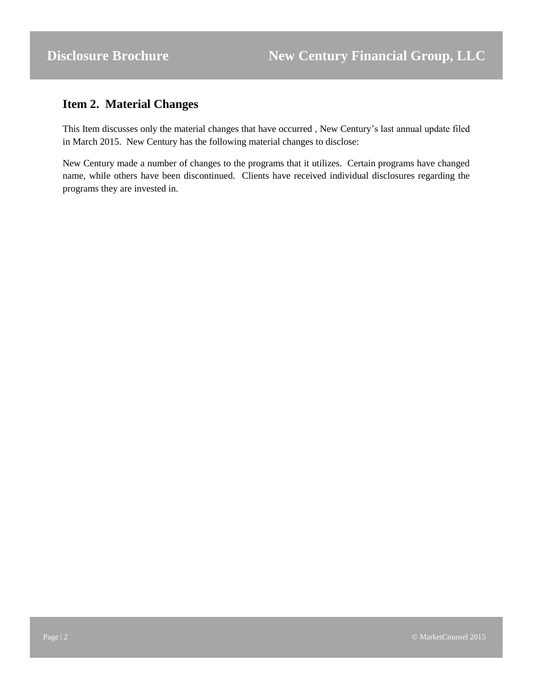## <span id="page-1-0"></span>**Item 2. Material Changes**

This Item discusses only the material changes that have occurred , New Century's last annual update filed in March 2015. New Century has the following material changes to disclose:

New Century made a number of changes to the programs that it utilizes. Certain programs have changed name, while others have been discontinued. Clients have received individual disclosures regarding the programs they are invested in.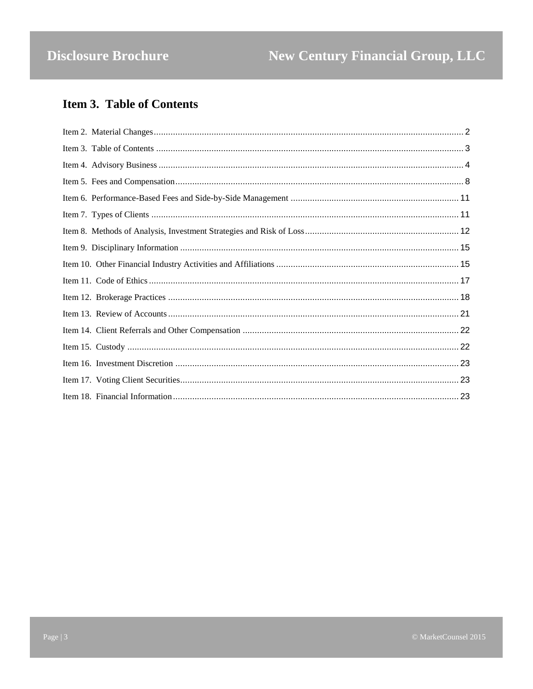## <span id="page-2-0"></span>**Item 3. Table of Contents**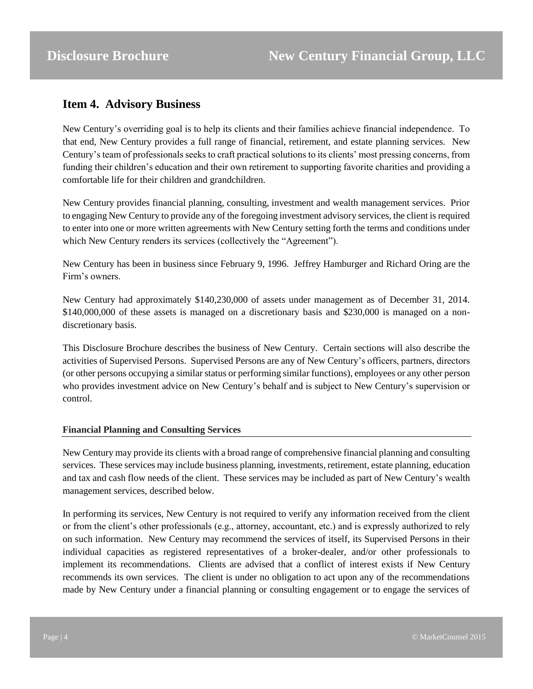## <span id="page-3-0"></span>**Item 4. Advisory Business**

New Century's overriding goal is to help its clients and their families achieve financial independence. To that end, New Century provides a full range of financial, retirement, and estate planning services. New Century's team of professionals seeks to craft practical solutions to its clients' most pressing concerns, from funding their children's education and their own retirement to supporting favorite charities and providing a comfortable life for their children and grandchildren.

New Century provides financial planning, consulting, investment and wealth management services. Prior to engaging New Century to provide any of the foregoing investment advisory services, the client is required to enter into one or more written agreements with New Century setting forth the terms and conditions under which New Century renders its services (collectively the "Agreement").

New Century has been in business since February 9, 1996. Jeffrey Hamburger and Richard Oring are the Firm's owners.

New Century had approximately \$140,230,000 of assets under management as of December 31, 2014. \$140,000,000 of these assets is managed on a discretionary basis and \$230,000 is managed on a nondiscretionary basis.

This Disclosure Brochure describes the business of New Century. Certain sections will also describe the activities of Supervised Persons. Supervised Persons are any of New Century's officers, partners, directors (or other persons occupying a similar status or performing similar functions), employees or any other person who provides investment advice on New Century's behalf and is subject to New Century's supervision or control.

#### **Financial Planning and Consulting Services**

New Century may provide its clients with a broad range of comprehensive financial planning and consulting services. These services may include business planning, investments, retirement, estate planning, education and tax and cash flow needs of the client. These services may be included as part of New Century's wealth management services, described below.

In performing its services, New Century is not required to verify any information received from the client or from the client's other professionals (e.g., attorney, accountant, etc.) and is expressly authorized to rely on such information. New Century may recommend the services of itself, its Supervised Persons in their individual capacities as registered representatives of a broker-dealer, and/or other professionals to implement its recommendations. Clients are advised that a conflict of interest exists if New Century recommends its own services. The client is under no obligation to act upon any of the recommendations made by New Century under a financial planning or consulting engagement or to engage the services of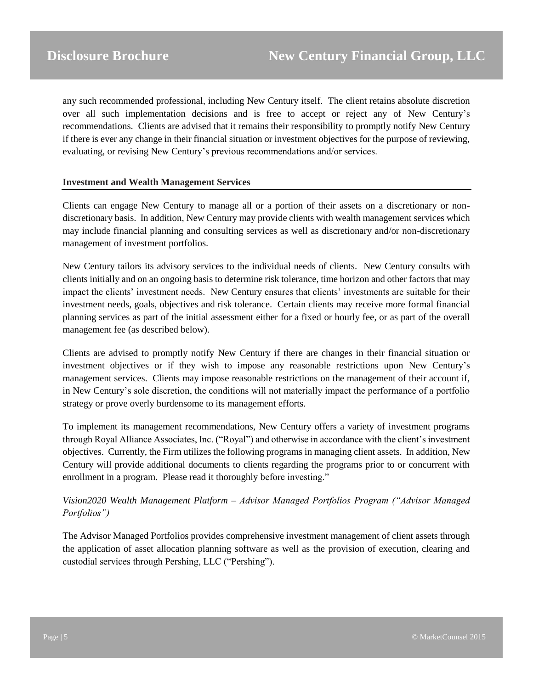any such recommended professional, including New Century itself. The client retains absolute discretion over all such implementation decisions and is free to accept or reject any of New Century's recommendations. Clients are advised that it remains their responsibility to promptly notify New Century if there is ever any change in their financial situation or investment objectives for the purpose of reviewing, evaluating, or revising New Century's previous recommendations and/or services.

#### **Investment and Wealth Management Services**

Clients can engage New Century to manage all or a portion of their assets on a discretionary or nondiscretionary basis. In addition, New Century may provide clients with wealth management services which may include financial planning and consulting services as well as discretionary and/or non-discretionary management of investment portfolios.

New Century tailors its advisory services to the individual needs of clients. New Century consults with clients initially and on an ongoing basis to determine risk tolerance, time horizon and other factors that may impact the clients' investment needs. New Century ensures that clients' investments are suitable for their investment needs, goals, objectives and risk tolerance. Certain clients may receive more formal financial planning services as part of the initial assessment either for a fixed or hourly fee, or as part of the overall management fee (as described below).

Clients are advised to promptly notify New Century if there are changes in their financial situation or investment objectives or if they wish to impose any reasonable restrictions upon New Century's management services. Clients may impose reasonable restrictions on the management of their account if, in New Century's sole discretion, the conditions will not materially impact the performance of a portfolio strategy or prove overly burdensome to its management efforts.

To implement its management recommendations, New Century offers a variety of investment programs through Royal Alliance Associates, Inc. ("Royal") and otherwise in accordance with the client's investment objectives. Currently, the Firm utilizes the following programs in managing client assets. In addition, New Century will provide additional documents to clients regarding the programs prior to or concurrent with enrollment in a program. Please read it thoroughly before investing."

### *Vision2020 Wealth Management Platform – Advisor Managed Portfolios Program ("Advisor Managed Portfolios")*

The Advisor Managed Portfolios provides comprehensive investment management of client assets through the application of asset allocation planning software as well as the provision of execution, clearing and custodial services through Pershing, LLC ("Pershing").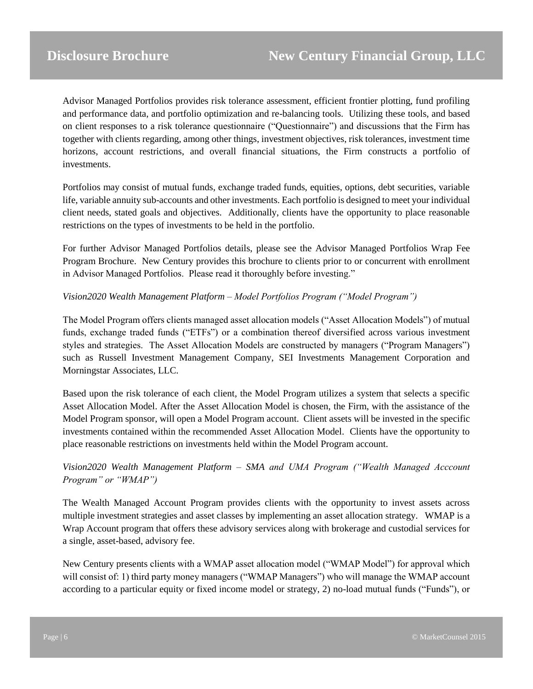Advisor Managed Portfolios provides risk tolerance assessment, efficient frontier plotting, fund profiling and performance data, and portfolio optimization and re-balancing tools. Utilizing these tools, and based on client responses to a risk tolerance questionnaire ("Questionnaire") and discussions that the Firm has together with clients regarding, among other things, investment objectives, risk tolerances, investment time horizons, account restrictions, and overall financial situations, the Firm constructs a portfolio of investments.

Portfolios may consist of mutual funds, exchange traded funds, equities, options, debt securities, variable life, variable annuity sub-accounts and other investments. Each portfolio is designed to meet your individual client needs, stated goals and objectives. Additionally, clients have the opportunity to place reasonable restrictions on the types of investments to be held in the portfolio.

For further Advisor Managed Portfolios details, please see the Advisor Managed Portfolios Wrap Fee Program Brochure. New Century provides this brochure to clients prior to or concurrent with enrollment in Advisor Managed Portfolios. Please read it thoroughly before investing."

### *Vision2020 Wealth Management Platform – Model Portfolios Program ("Model Program")*

The Model Program offers clients managed asset allocation models ("Asset Allocation Models") of mutual funds, exchange traded funds ("ETFs") or a combination thereof diversified across various investment styles and strategies. The Asset Allocation Models are constructed by managers ("Program Managers") such as Russell Investment Management Company, SEI Investments Management Corporation and Morningstar Associates, LLC.

Based upon the risk tolerance of each client, the Model Program utilizes a system that selects a specific Asset Allocation Model. After the Asset Allocation Model is chosen, the Firm, with the assistance of the Model Program sponsor, will open a Model Program account. Client assets will be invested in the specific investments contained within the recommended Asset Allocation Model. Clients have the opportunity to place reasonable restrictions on investments held within the Model Program account.

## *Vision2020 Wealth Management Platform – SMA and UMA Program ("Wealth Managed Acccount Program" or "WMAP")*

The Wealth Managed Account Program provides clients with the opportunity to invest assets across multiple investment strategies and asset classes by implementing an asset allocation strategy. WMAP is a Wrap Account program that offers these advisory services along with brokerage and custodial services for a single, asset-based, advisory fee.

New Century presents clients with a WMAP asset allocation model ("WMAP Model") for approval which will consist of: 1) third party money managers ("WMAP Managers") who will manage the WMAP account according to a particular equity or fixed income model or strategy, 2) no-load mutual funds ("Funds"), or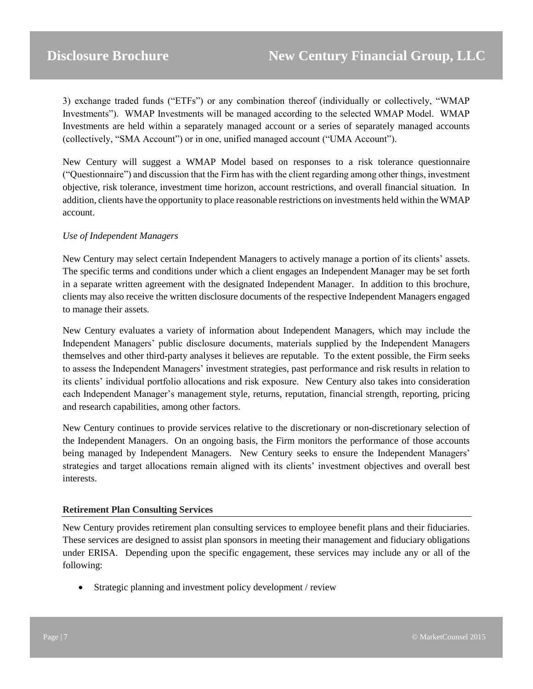3) exchange traded funds ("ETFs") or any combination thereof (individually or collectively, "WMAP Investments"). WMAP Investments will be managed according to the selected WMAP Model. WMAP Investments are held within a separately managed account or a series of separately managed accounts (collectively, "SMA Account") or in one, unified managed account ("UMA Account").

New Century will suggest a WMAP Model based on responses to a risk tolerance questionnaire ("Questionnaire") and discussion that the Firm has with the client regarding among other things, investment objective, risk tolerance, investment time horizon, account restrictions, and overall financial situation. In addition, clients have the opportunity to place reasonable restrictions on investments held within the WMAP account.

#### *Use of Independent Managers*

New Century may select certain Independent Managers to actively manage a portion of its clients' assets. The specific terms and conditions under which a client engages an Independent Manager may be set forth in a separate written agreement with the designated Independent Manager. In addition to this brochure, clients may also receive the written disclosure documents of the respective Independent Managers engaged to manage their assets.

New Century evaluates a variety of information about Independent Managers, which may include the Independent Managers' public disclosure documents, materials supplied by the Independent Managers themselves and other third-party analyses it believes are reputable. To the extent possible, the Firm seeks to assess the Independent Managers' investment strategies, past performance and risk results in relation to its clients' individual portfolio allocations and risk exposure. New Century also takes into consideration each Independent Manager's management style, returns, reputation, financial strength, reporting, pricing and research capabilities, among other factors.

New Century continues to provide services relative to the discretionary or non-discretionary selection of the Independent Managers. On an ongoing basis, the Firm monitors the performance of those accounts being managed by Independent Managers. New Century seeks to ensure the Independent Managers' strategies and target allocations remain aligned with its clients' investment objectives and overall best interests.

#### **Retirement Plan Consulting Services**

New Century provides retirement plan consulting services to employee benefit plans and their fiduciaries. These services are designed to assist plan sponsors in meeting their management and fiduciary obligations under ERISA. Depending upon the specific engagement, these services may include any or all of the following:

• Strategic planning and investment policy development / review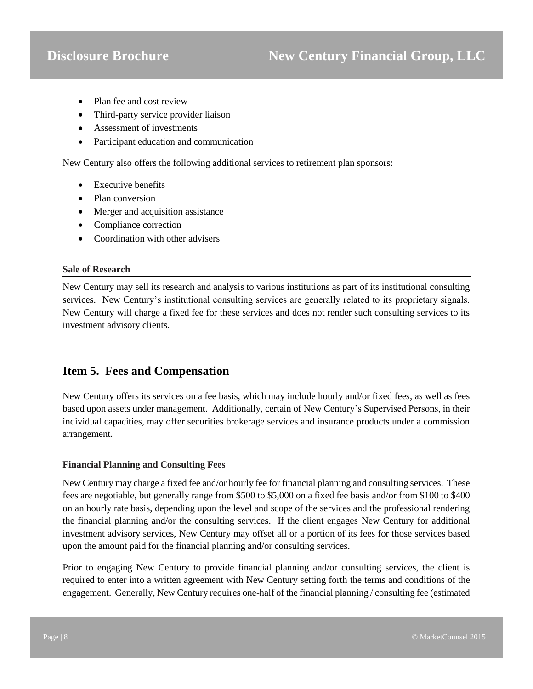- Plan fee and cost review
- Third-party service provider liaison
- Assessment of investments
- Participant education and communication

New Century also offers the following additional services to retirement plan sponsors:

- Executive benefits
- Plan conversion
- Merger and acquisition assistance
- Compliance correction
- Coordination with other advisers

#### **Sale of Research**

New Century may sell its research and analysis to various institutions as part of its institutional consulting services. New Century's institutional consulting services are generally related to its proprietary signals. New Century will charge a fixed fee for these services and does not render such consulting services to its investment advisory clients.

## <span id="page-7-0"></span>**Item 5. Fees and Compensation**

New Century offers its services on a fee basis, which may include hourly and/or fixed fees, as well as fees based upon assets under management. Additionally, certain of New Century's Supervised Persons, in their individual capacities, may offer securities brokerage services and insurance products under a commission arrangement.

#### **Financial Planning and Consulting Fees**

New Century may charge a fixed fee and/or hourly fee for financial planning and consulting services. These fees are negotiable, but generally range from \$500 to \$5,000 on a fixed fee basis and/or from \$100 to \$400 on an hourly rate basis, depending upon the level and scope of the services and the professional rendering the financial planning and/or the consulting services. If the client engages New Century for additional investment advisory services, New Century may offset all or a portion of its fees for those services based upon the amount paid for the financial planning and/or consulting services.

Prior to engaging New Century to provide financial planning and/or consulting services, the client is required to enter into a written agreement with New Century setting forth the terms and conditions of the engagement. Generally, New Century requires one-half of the financial planning / consulting fee (estimated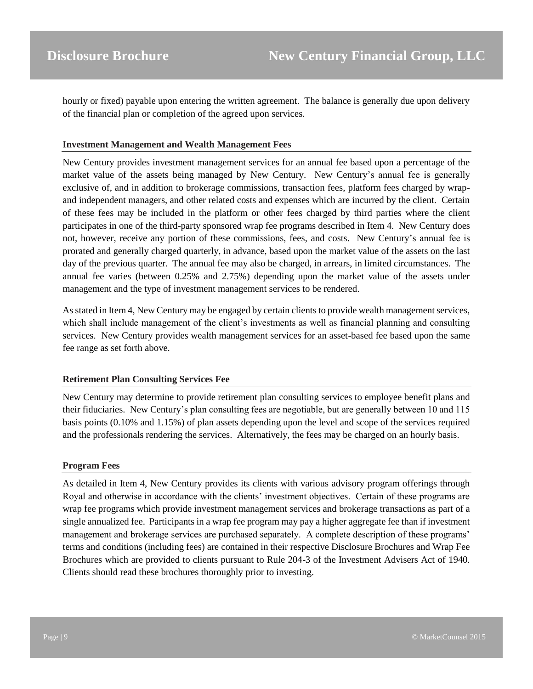hourly or fixed) payable upon entering the written agreement. The balance is generally due upon delivery of the financial plan or completion of the agreed upon services.

#### **Investment Management and Wealth Management Fees**

New Century provides investment management services for an annual fee based upon a percentage of the market value of the assets being managed by New Century. New Century's annual fee is generally exclusive of, and in addition to brokerage commissions, transaction fees, platform fees charged by wrapand independent managers, and other related costs and expenses which are incurred by the client. Certain of these fees may be included in the platform or other fees charged by third parties where the client participates in one of the third-party sponsored wrap fee programs described in Item 4. New Century does not, however, receive any portion of these commissions, fees, and costs. New Century's annual fee is prorated and generally charged quarterly, in advance, based upon the market value of the assets on the last day of the previous quarter. The annual fee may also be charged, in arrears, in limited circumstances. The annual fee varies (between 0.25% and 2.75%) depending upon the market value of the assets under management and the type of investment management services to be rendered.

As stated in Item 4, New Century may be engaged by certain clients to provide wealth management services, which shall include management of the client's investments as well as financial planning and consulting services. New Century provides wealth management services for an asset-based fee based upon the same fee range as set forth above.

#### **Retirement Plan Consulting Services Fee**

New Century may determine to provide retirement plan consulting services to employee benefit plans and their fiduciaries. New Century's plan consulting fees are negotiable, but are generally between 10 and 115 basis points (0.10% and 1.15%) of plan assets depending upon the level and scope of the services required and the professionals rendering the services. Alternatively, the fees may be charged on an hourly basis.

#### **Program Fees**

As detailed in Item 4, New Century provides its clients with various advisory program offerings through Royal and otherwise in accordance with the clients' investment objectives. Certain of these programs are wrap fee programs which provide investment management services and brokerage transactions as part of a single annualized fee. Participants in a wrap fee program may pay a higher aggregate fee than if investment management and brokerage services are purchased separately. A complete description of these programs' terms and conditions (including fees) are contained in their respective Disclosure Brochures and Wrap Fee Brochures which are provided to clients pursuant to Rule 204-3 of the Investment Advisers Act of 1940. Clients should read these brochures thoroughly prior to investing.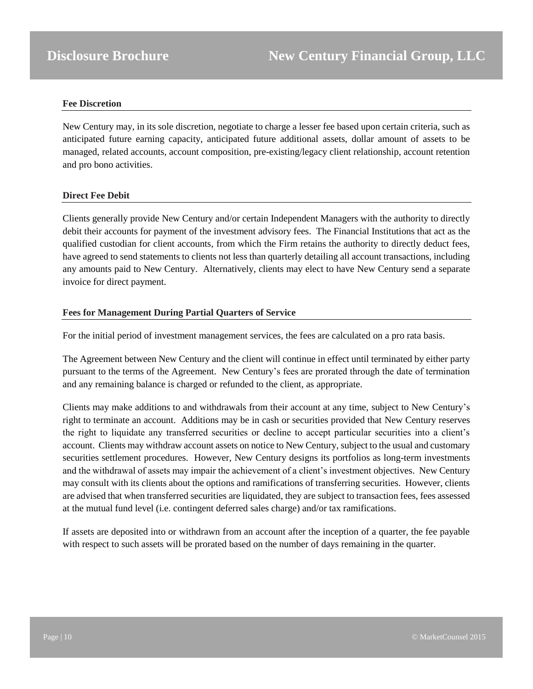#### **Fee Discretion**

New Century may, in its sole discretion, negotiate to charge a lesser fee based upon certain criteria, such as anticipated future earning capacity, anticipated future additional assets, dollar amount of assets to be managed, related accounts, account composition, pre-existing/legacy client relationship, account retention and pro bono activities.

#### **Direct Fee Debit**

Clients generally provide New Century and/or certain Independent Managers with the authority to directly debit their accounts for payment of the investment advisory fees. The Financial Institutions that act as the qualified custodian for client accounts, from which the Firm retains the authority to directly deduct fees, have agreed to send statements to clients not less than quarterly detailing all account transactions, including any amounts paid to New Century. Alternatively, clients may elect to have New Century send a separate invoice for direct payment.

#### **Fees for Management During Partial Quarters of Service**

For the initial period of investment management services, the fees are calculated on a pro rata basis.

The Agreement between New Century and the client will continue in effect until terminated by either party pursuant to the terms of the Agreement. New Century's fees are prorated through the date of termination and any remaining balance is charged or refunded to the client, as appropriate.

Clients may make additions to and withdrawals from their account at any time, subject to New Century's right to terminate an account. Additions may be in cash or securities provided that New Century reserves the right to liquidate any transferred securities or decline to accept particular securities into a client's account. Clients may withdraw account assets on notice to New Century, subject to the usual and customary securities settlement procedures. However, New Century designs its portfolios as long-term investments and the withdrawal of assets may impair the achievement of a client's investment objectives. New Century may consult with its clients about the options and ramifications of transferring securities. However, clients are advised that when transferred securities are liquidated, they are subject to transaction fees, fees assessed at the mutual fund level (i.e. contingent deferred sales charge) and/or tax ramifications.

If assets are deposited into or withdrawn from an account after the inception of a quarter, the fee payable with respect to such assets will be prorated based on the number of days remaining in the quarter.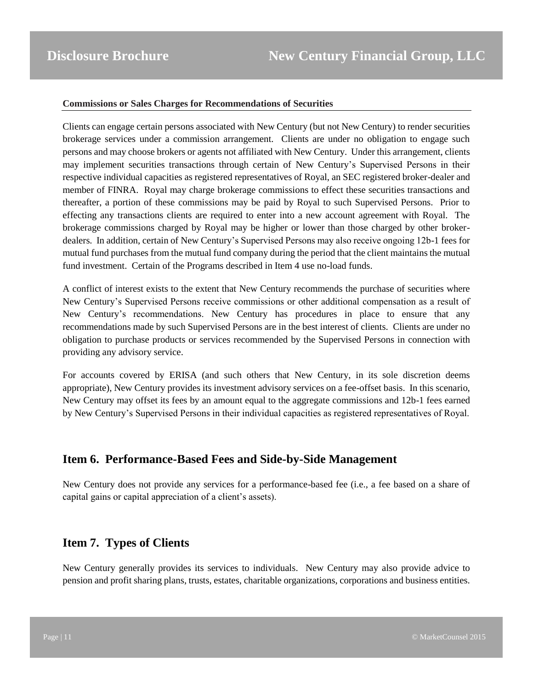#### **Commissions or Sales Charges for Recommendations of Securities**

Clients can engage certain persons associated with New Century (but not New Century) to render securities brokerage services under a commission arrangement. Clients are under no obligation to engage such persons and may choose brokers or agents not affiliated with New Century. Under this arrangement, clients may implement securities transactions through certain of New Century's Supervised Persons in their respective individual capacities as registered representatives of Royal, an SEC registered broker-dealer and member of FINRA. Royal may charge brokerage commissions to effect these securities transactions and thereafter, a portion of these commissions may be paid by Royal to such Supervised Persons. Prior to effecting any transactions clients are required to enter into a new account agreement with Royal. The brokerage commissions charged by Royal may be higher or lower than those charged by other brokerdealers. In addition, certain of New Century's Supervised Persons may also receive ongoing 12b-1 fees for mutual fund purchases from the mutual fund company during the period that the client maintains the mutual fund investment. Certain of the Programs described in Item 4 use no-load funds.

A conflict of interest exists to the extent that New Century recommends the purchase of securities where New Century's Supervised Persons receive commissions or other additional compensation as a result of New Century's recommendations. New Century has procedures in place to ensure that any recommendations made by such Supervised Persons are in the best interest of clients. Clients are under no obligation to purchase products or services recommended by the Supervised Persons in connection with providing any advisory service.

For accounts covered by ERISA (and such others that New Century, in its sole discretion deems appropriate), New Century provides its investment advisory services on a fee-offset basis. In this scenario, New Century may offset its fees by an amount equal to the aggregate commissions and 12b-1 fees earned by New Century's Supervised Persons in their individual capacities as registered representatives of Royal.

## <span id="page-10-0"></span>**Item 6. Performance-Based Fees and Side-by-Side Management**

New Century does not provide any services for a performance-based fee (i.e., a fee based on a share of capital gains or capital appreciation of a client's assets).

## <span id="page-10-1"></span>**Item 7. Types of Clients**

New Century generally provides its services to individuals. New Century may also provide advice to pension and profit sharing plans, trusts, estates, charitable organizations, corporations and business entities.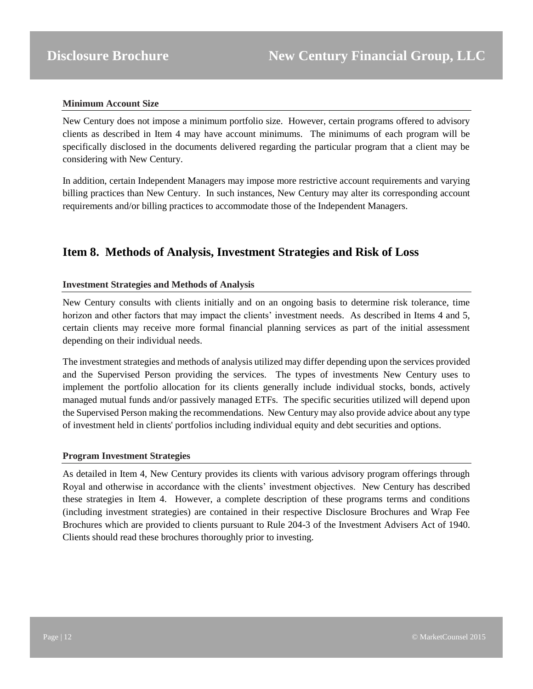#### **Minimum Account Size**

New Century does not impose a minimum portfolio size. However, certain programs offered to advisory clients as described in Item 4 may have account minimums. The minimums of each program will be specifically disclosed in the documents delivered regarding the particular program that a client may be considering with New Century.

In addition, certain Independent Managers may impose more restrictive account requirements and varying billing practices than New Century. In such instances, New Century may alter its corresponding account requirements and/or billing practices to accommodate those of the Independent Managers.

## <span id="page-11-0"></span>**Item 8. Methods of Analysis, Investment Strategies and Risk of Loss**

#### **Investment Strategies and Methods of Analysis**

New Century consults with clients initially and on an ongoing basis to determine risk tolerance, time horizon and other factors that may impact the clients' investment needs. As described in Items 4 and 5, certain clients may receive more formal financial planning services as part of the initial assessment depending on their individual needs.

The investment strategies and methods of analysis utilized may differ depending upon the services provided and the Supervised Person providing the services. The types of investments New Century uses to implement the portfolio allocation for its clients generally include individual stocks, bonds, actively managed mutual funds and/or passively managed ETFs. The specific securities utilized will depend upon the Supervised Person making the recommendations. New Century may also provide advice about any type of investment held in clients' portfolios including individual equity and debt securities and options.

#### **Program Investment Strategies**

As detailed in Item 4, New Century provides its clients with various advisory program offerings through Royal and otherwise in accordance with the clients' investment objectives. New Century has described these strategies in Item 4. However, a complete description of these programs terms and conditions (including investment strategies) are contained in their respective Disclosure Brochures and Wrap Fee Brochures which are provided to clients pursuant to Rule 204-3 of the Investment Advisers Act of 1940. Clients should read these brochures thoroughly prior to investing.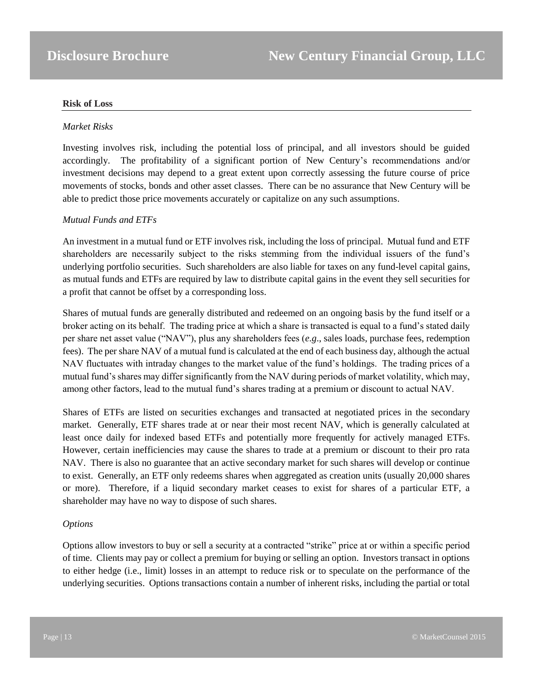#### **Risk of Loss**

#### *Market Risks*

Investing involves risk, including the potential loss of principal, and all investors should be guided accordingly. The profitability of a significant portion of New Century's recommendations and/or investment decisions may depend to a great extent upon correctly assessing the future course of price movements of stocks, bonds and other asset classes. There can be no assurance that New Century will be able to predict those price movements accurately or capitalize on any such assumptions.

#### *Mutual Funds and ETFs*

An investment in a mutual fund or ETF involves risk, including the loss of principal. Mutual fund and ETF shareholders are necessarily subject to the risks stemming from the individual issuers of the fund's underlying portfolio securities. Such shareholders are also liable for taxes on any fund-level capital gains, as mutual funds and ETFs are required by law to distribute capital gains in the event they sell securities for a profit that cannot be offset by a corresponding loss.

Shares of mutual funds are generally distributed and redeemed on an ongoing basis by the fund itself or a broker acting on its behalf. The trading price at which a share is transacted is equal to a fund's stated daily per share net asset value ("NAV"), plus any shareholders fees (*e.g*., sales loads, purchase fees, redemption fees). The per share NAV of a mutual fund is calculated at the end of each business day, although the actual NAV fluctuates with intraday changes to the market value of the fund's holdings. The trading prices of a mutual fund's shares may differ significantly from the NAV during periods of market volatility, which may, among other factors, lead to the mutual fund's shares trading at a premium or discount to actual NAV.

Shares of ETFs are listed on securities exchanges and transacted at negotiated prices in the secondary market. Generally, ETF shares trade at or near their most recent NAV, which is generally calculated at least once daily for indexed based ETFs and potentially more frequently for actively managed ETFs. However, certain inefficiencies may cause the shares to trade at a premium or discount to their pro rata NAV. There is also no guarantee that an active secondary market for such shares will develop or continue to exist. Generally, an ETF only redeems shares when aggregated as creation units (usually 20,000 shares or more). Therefore, if a liquid secondary market ceases to exist for shares of a particular ETF, a shareholder may have no way to dispose of such shares.

#### *Options*

Options allow investors to buy or sell a security at a contracted "strike" price at or within a specific period of time. Clients may pay or collect a premium for buying or selling an option. Investors transact in options to either hedge (i.e., limit) losses in an attempt to reduce risk or to speculate on the performance of the underlying securities. Options transactions contain a number of inherent risks, including the partial or total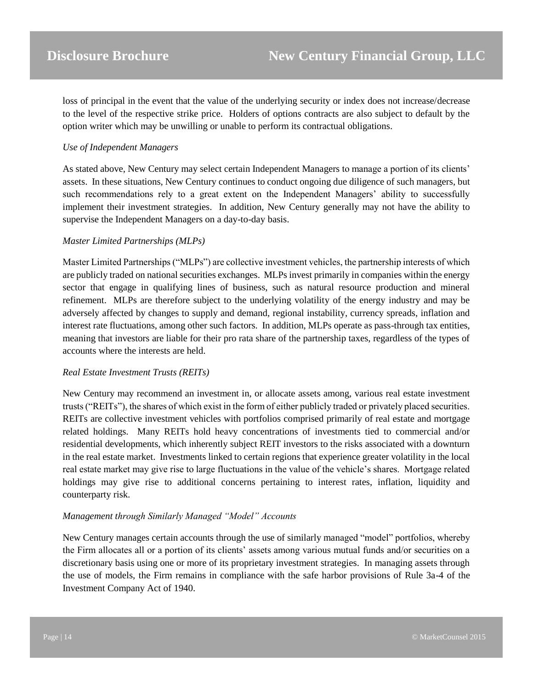loss of principal in the event that the value of the underlying security or index does not increase/decrease to the level of the respective strike price. Holders of options contracts are also subject to default by the option writer which may be unwilling or unable to perform its contractual obligations.

#### *Use of Independent Managers*

As stated above, New Century may select certain Independent Managers to manage a portion of its clients' assets. In these situations, New Century continues to conduct ongoing due diligence of such managers, but such recommendations rely to a great extent on the Independent Managers' ability to successfully implement their investment strategies. In addition, New Century generally may not have the ability to supervise the Independent Managers on a day-to-day basis.

#### *Master Limited Partnerships (MLPs)*

Master Limited Partnerships ("MLPs") are collective investment vehicles, the partnership interests of which are publicly traded on national securities exchanges. MLPs invest primarily in companies within the energy sector that engage in qualifying lines of business, such as natural resource production and mineral refinement. MLPs are therefore subject to the underlying volatility of the energy industry and may be adversely affected by changes to supply and demand, regional instability, currency spreads, inflation and interest rate fluctuations, among other such factors. In addition, MLPs operate as pass-through tax entities, meaning that investors are liable for their pro rata share of the partnership taxes, regardless of the types of accounts where the interests are held.

#### *Real Estate Investment Trusts (REITs)*

New Century may recommend an investment in, or allocate assets among, various real estate investment trusts ("REITs"), the shares of which exist in the form of either publicly traded or privately placed securities. REITs are collective investment vehicles with portfolios comprised primarily of real estate and mortgage related holdings. Many REITs hold heavy concentrations of investments tied to commercial and/or residential developments, which inherently subject REIT investors to the risks associated with a downturn in the real estate market. Investments linked to certain regions that experience greater volatility in the local real estate market may give rise to large fluctuations in the value of the vehicle's shares. Mortgage related holdings may give rise to additional concerns pertaining to interest rates, inflation, liquidity and counterparty risk.

#### *Management through Similarly Managed "Model" Accounts*

New Century manages certain accounts through the use of similarly managed "model" portfolios, whereby the Firm allocates all or a portion of its clients' assets among various mutual funds and/or securities on a discretionary basis using one or more of its proprietary investment strategies. In managing assets through the use of models, the Firm remains in compliance with the safe harbor provisions of Rule 3a-4 of the Investment Company Act of 1940.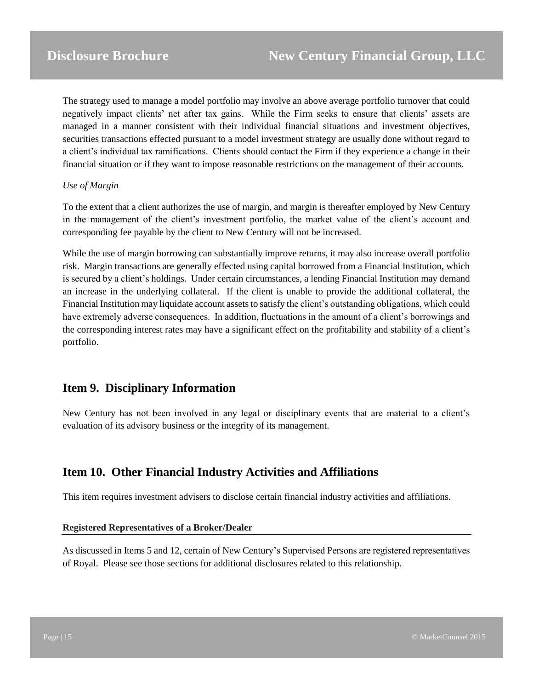The strategy used to manage a model portfolio may involve an above average portfolio turnover that could negatively impact clients' net after tax gains. While the Firm seeks to ensure that clients' assets are managed in a manner consistent with their individual financial situations and investment objectives, securities transactions effected pursuant to a model investment strategy are usually done without regard to a client's individual tax ramifications. Clients should contact the Firm if they experience a change in their financial situation or if they want to impose reasonable restrictions on the management of their accounts.

#### *Use of Margin*

To the extent that a client authorizes the use of margin, and margin is thereafter employed by New Century in the management of the client's investment portfolio, the market value of the client's account and corresponding fee payable by the client to New Century will not be increased.

While the use of margin borrowing can substantially improve returns, it may also increase overall portfolio risk. Margin transactions are generally effected using capital borrowed from a Financial Institution, which is secured by a client's holdings. Under certain circumstances, a lending Financial Institution may demand an increase in the underlying collateral. If the client is unable to provide the additional collateral, the Financial Institution may liquidate account assets to satisfy the client's outstanding obligations, which could have extremely adverse consequences. In addition, fluctuations in the amount of a client's borrowings and the corresponding interest rates may have a significant effect on the profitability and stability of a client's portfolio.

## <span id="page-14-0"></span>**Item 9. Disciplinary Information**

New Century has not been involved in any legal or disciplinary events that are material to a client's evaluation of its advisory business or the integrity of its management.

## <span id="page-14-1"></span>**Item 10. Other Financial Industry Activities and Affiliations**

This item requires investment advisers to disclose certain financial industry activities and affiliations.

#### **Registered Representatives of a Broker/Dealer**

As discussed in Items 5 and 12, certain of New Century's Supervised Persons are registered representatives of Royal. Please see those sections for additional disclosures related to this relationship.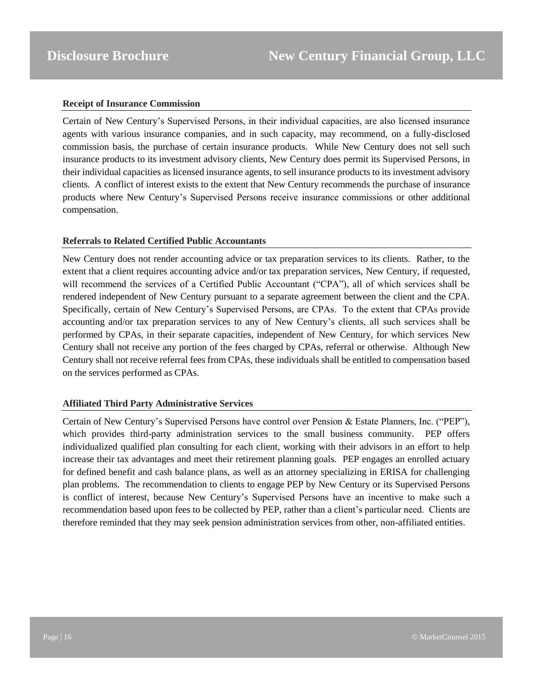#### **Receipt of Insurance Commission**

Certain of New Century's Supervised Persons, in their individual capacities, are also licensed insurance agents with various insurance companies, and in such capacity, may recommend, on a fully-disclosed commission basis, the purchase of certain insurance products. While New Century does not sell such insurance products to its investment advisory clients, New Century does permit its Supervised Persons, in their individual capacities as licensed insurance agents, to sell insurance products to its investment advisory clients. A conflict of interest exists to the extent that New Century recommends the purchase of insurance products where New Century's Supervised Persons receive insurance commissions or other additional compensation.

#### **Referrals to Related Certified Public Accountants**

New Century does not render accounting advice or tax preparation services to its clients. Rather, to the extent that a client requires accounting advice and/or tax preparation services, New Century, if requested, will recommend the services of a Certified Public Accountant ("CPA"), all of which services shall be rendered independent of New Century pursuant to a separate agreement between the client and the CPA. Specifically, certain of New Century's Supervised Persons, are CPAs. To the extent that CPAs provide accounting and/or tax preparation services to any of New Century's clients, all such services shall be performed by CPAs, in their separate capacities, independent of New Century, for which services New Century shall not receive any portion of the fees charged by CPAs, referral or otherwise. Although New Century shall not receive referral fees from CPAs, these individuals shall be entitled to compensation based on the services performed as CPAs.

#### **Affiliated Third Party Administrative Services**

Certain of New Century's Supervised Persons have control over Pension & Estate Planners, Inc. ("PEP"), which provides third-party administration services to the small business community. PEP offers individualized qualified plan consulting for each client, working with their advisors in an effort to help increase their tax advantages and meet their retirement planning goals. PEP engages an enrolled actuary for defined benefit and cash balance plans, as well as an attorney specializing in ERISA for challenging plan problems. The recommendation to clients to engage PEP by New Century or its Supervised Persons is conflict of interest, because New Century's Supervised Persons have an incentive to make such a recommendation based upon fees to be collected by PEP, rather than a client's particular need. Clients are therefore reminded that they may seek pension administration services from other, non-affiliated entities.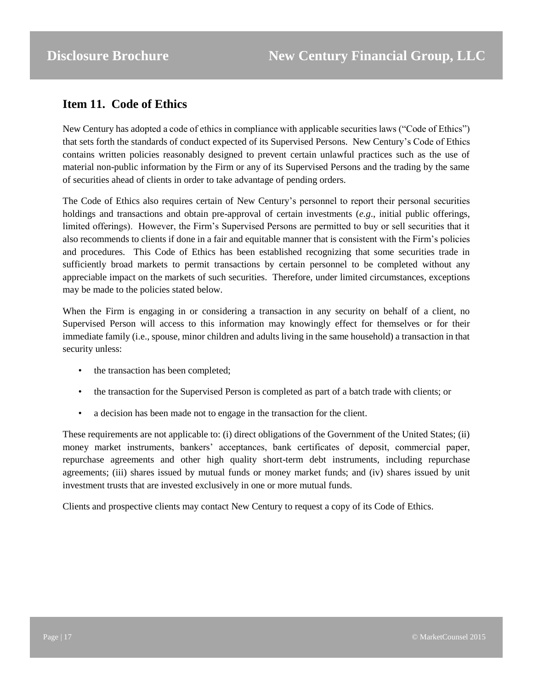## <span id="page-16-0"></span>**Item 11. Code of Ethics**

New Century has adopted a code of ethics in compliance with applicable securities laws ("Code of Ethics") that sets forth the standards of conduct expected of its Supervised Persons. New Century's Code of Ethics contains written policies reasonably designed to prevent certain unlawful practices such as the use of material non-public information by the Firm or any of its Supervised Persons and the trading by the same of securities ahead of clients in order to take advantage of pending orders.

The Code of Ethics also requires certain of New Century's personnel to report their personal securities holdings and transactions and obtain pre-approval of certain investments (*e.g*., initial public offerings, limited offerings). However, the Firm's Supervised Persons are permitted to buy or sell securities that it also recommends to clients if done in a fair and equitable manner that is consistent with the Firm's policies and procedures. This Code of Ethics has been established recognizing that some securities trade in sufficiently broad markets to permit transactions by certain personnel to be completed without any appreciable impact on the markets of such securities. Therefore, under limited circumstances, exceptions may be made to the policies stated below.

When the Firm is engaging in or considering a transaction in any security on behalf of a client, no Supervised Person will access to this information may knowingly effect for themselves or for their immediate family (i.e., spouse, minor children and adults living in the same household) a transaction in that security unless:

- the transaction has been completed;
- the transaction for the Supervised Person is completed as part of a batch trade with clients; or
- a decision has been made not to engage in the transaction for the client.

These requirements are not applicable to: (i) direct obligations of the Government of the United States; (ii) money market instruments, bankers' acceptances, bank certificates of deposit, commercial paper, repurchase agreements and other high quality short-term debt instruments, including repurchase agreements; (iii) shares issued by mutual funds or money market funds; and (iv) shares issued by unit investment trusts that are invested exclusively in one or more mutual funds.

Clients and prospective clients may contact New Century to request a copy of its Code of Ethics.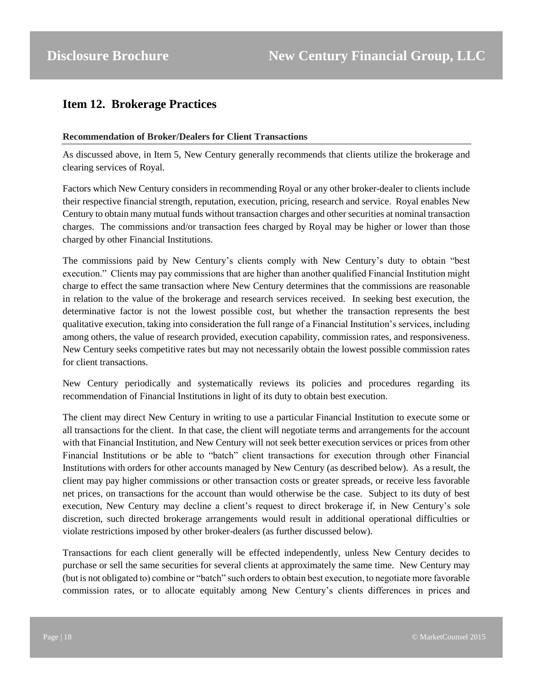## <span id="page-17-0"></span>**Item 12. Brokerage Practices**

#### **Recommendation of Broker/Dealers for Client Transactions**

As discussed above, in Item 5, New Century generally recommends that clients utilize the brokerage and clearing services of Royal.

Factors which New Century considers in recommending Royal or any other broker-dealer to clients include their respective financial strength, reputation, execution, pricing, research and service. Royal enables New Century to obtain many mutual funds without transaction charges and other securities at nominal transaction charges. The commissions and/or transaction fees charged by Royal may be higher or lower than those charged by other Financial Institutions.

The commissions paid by New Century's clients comply with New Century's duty to obtain "best execution." Clients may pay commissions that are higher than another qualified Financial Institution might charge to effect the same transaction where New Century determines that the commissions are reasonable in relation to the value of the brokerage and research services received. In seeking best execution, the determinative factor is not the lowest possible cost, but whether the transaction represents the best qualitative execution, taking into consideration the full range of a Financial Institution's services, including among others, the value of research provided, execution capability, commission rates, and responsiveness. New Century seeks competitive rates but may not necessarily obtain the lowest possible commission rates for client transactions.

New Century periodically and systematically reviews its policies and procedures regarding its recommendation of Financial Institutions in light of its duty to obtain best execution.

The client may direct New Century in writing to use a particular Financial Institution to execute some or all transactions for the client. In that case, the client will negotiate terms and arrangements for the account with that Financial Institution, and New Century will not seek better execution services or prices from other Financial Institutions or be able to "batch" client transactions for execution through other Financial Institutions with orders for other accounts managed by New Century (as described below). As a result, the client may pay higher commissions or other transaction costs or greater spreads, or receive less favorable net prices, on transactions for the account than would otherwise be the case. Subject to its duty of best execution, New Century may decline a client's request to direct brokerage if, in New Century's sole discretion, such directed brokerage arrangements would result in additional operational difficulties or violate restrictions imposed by other broker-dealers (as further discussed below).

Transactions for each client generally will be effected independently, unless New Century decides to purchase or sell the same securities for several clients at approximately the same time. New Century may (but is not obligated to) combine or "batch" such orders to obtain best execution, to negotiate more favorable commission rates, or to allocate equitably among New Century's clients differences in prices and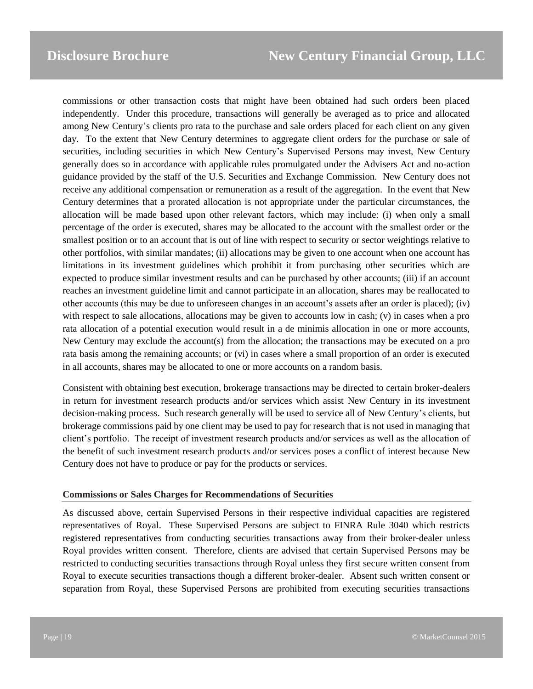commissions or other transaction costs that might have been obtained had such orders been placed independently. Under this procedure, transactions will generally be averaged as to price and allocated among New Century's clients pro rata to the purchase and sale orders placed for each client on any given day. To the extent that New Century determines to aggregate client orders for the purchase or sale of securities, including securities in which New Century's Supervised Persons may invest, New Century generally does so in accordance with applicable rules promulgated under the Advisers Act and no-action guidance provided by the staff of the U.S. Securities and Exchange Commission. New Century does not receive any additional compensation or remuneration as a result of the aggregation. In the event that New Century determines that a prorated allocation is not appropriate under the particular circumstances, the allocation will be made based upon other relevant factors, which may include: (i) when only a small percentage of the order is executed, shares may be allocated to the account with the smallest order or the smallest position or to an account that is out of line with respect to security or sector weightings relative to other portfolios, with similar mandates; (ii) allocations may be given to one account when one account has limitations in its investment guidelines which prohibit it from purchasing other securities which are expected to produce similar investment results and can be purchased by other accounts; (iii) if an account reaches an investment guideline limit and cannot participate in an allocation, shares may be reallocated to other accounts (this may be due to unforeseen changes in an account's assets after an order is placed); (iv) with respect to sale allocations, allocations may be given to accounts low in cash; (v) in cases when a pro rata allocation of a potential execution would result in a de minimis allocation in one or more accounts, New Century may exclude the account(s) from the allocation; the transactions may be executed on a pro rata basis among the remaining accounts; or (vi) in cases where a small proportion of an order is executed in all accounts, shares may be allocated to one or more accounts on a random basis.

Consistent with obtaining best execution, brokerage transactions may be directed to certain broker-dealers in return for investment research products and/or services which assist New Century in its investment decision-making process. Such research generally will be used to service all of New Century's clients, but brokerage commissions paid by one client may be used to pay for research that is not used in managing that client's portfolio. The receipt of investment research products and/or services as well as the allocation of the benefit of such investment research products and/or services poses a conflict of interest because New Century does not have to produce or pay for the products or services.

#### **Commissions or Sales Charges for Recommendations of Securities**

As discussed above, certain Supervised Persons in their respective individual capacities are registered representatives of Royal. These Supervised Persons are subject to FINRA Rule 3040 which restricts registered representatives from conducting securities transactions away from their broker-dealer unless Royal provides written consent. Therefore, clients are advised that certain Supervised Persons may be restricted to conducting securities transactions through Royal unless they first secure written consent from Royal to execute securities transactions though a different broker-dealer. Absent such written consent or separation from Royal, these Supervised Persons are prohibited from executing securities transactions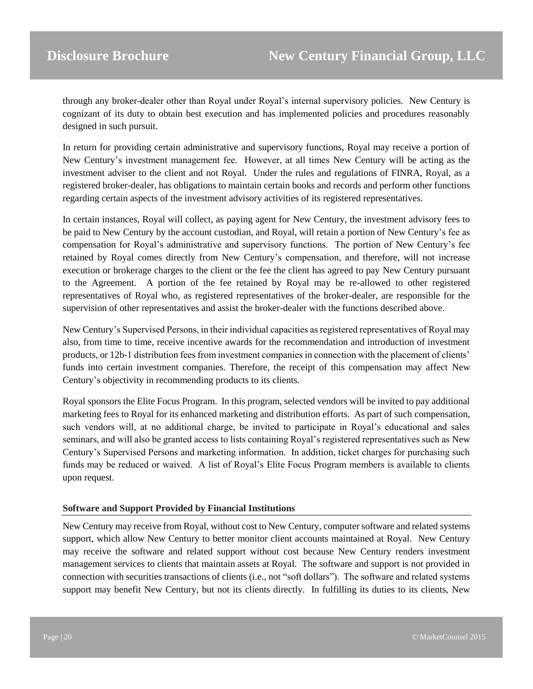through any broker-dealer other than Royal under Royal's internal supervisory policies. New Century is cognizant of its duty to obtain best execution and has implemented policies and procedures reasonably designed in such pursuit.

In return for providing certain administrative and supervisory functions, Royal may receive a portion of New Century's investment management fee. However, at all times New Century will be acting as the investment adviser to the client and not Royal. Under the rules and regulations of FINRA, Royal, as a registered broker-dealer, has obligations to maintain certain books and records and perform other functions regarding certain aspects of the investment advisory activities of its registered representatives.

In certain instances, Royal will collect, as paying agent for New Century, the investment advisory fees to be paid to New Century by the account custodian, and Royal, will retain a portion of New Century's fee as compensation for Royal's administrative and supervisory functions. The portion of New Century's fee retained by Royal comes directly from New Century's compensation, and therefore, will not increase execution or brokerage charges to the client or the fee the client has agreed to pay New Century pursuant to the Agreement. A portion of the fee retained by Royal may be re-allowed to other registered representatives of Royal who, as registered representatives of the broker-dealer, are responsible for the supervision of other representatives and assist the broker-dealer with the functions described above.

New Century's Supervised Persons, in their individual capacities as registered representatives of Royal may also, from time to time, receive incentive awards for the recommendation and introduction of investment products, or 12b-1 distribution fees from investment companies in connection with the placement of clients' funds into certain investment companies. Therefore, the receipt of this compensation may affect New Century's objectivity in recommending products to its clients.

Royal sponsors the Elite Focus Program. In this program, selected vendors will be invited to pay additional marketing fees to Royal for its enhanced marketing and distribution efforts. As part of such compensation, such vendors will, at no additional charge, be invited to participate in Royal's educational and sales seminars, and will also be granted access to lists containing Royal's registered representatives such as New Century's Supervised Persons and marketing information. In addition, ticket charges for purchasing such funds may be reduced or waived. A list of Royal's Elite Focus Program members is available to clients upon request.

#### **Software and Support Provided by Financial Institutions**

New Century may receive from Royal, without cost to New Century, computer software and related systems support, which allow New Century to better monitor client accounts maintained at Royal. New Century may receive the software and related support without cost because New Century renders investment management services to clients that maintain assets at Royal. The software and support is not provided in connection with securities transactions of clients (i.e., not "soft dollars"). The software and related systems support may benefit New Century, but not its clients directly. In fulfilling its duties to its clients, New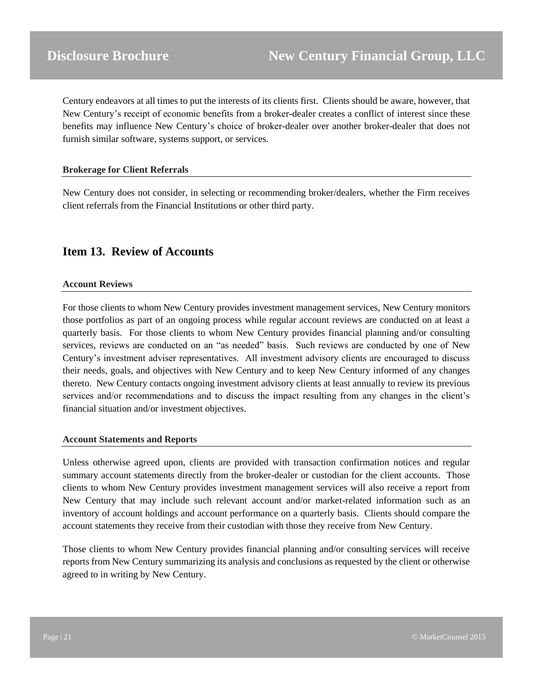Century endeavors at all times to put the interests of its clients first. Clients should be aware, however, that New Century's receipt of economic benefits from a broker-dealer creates a conflict of interest since these benefits may influence New Century's choice of broker-dealer over another broker-dealer that does not furnish similar software, systems support, or services.

#### **Brokerage for Client Referrals**

New Century does not consider, in selecting or recommending broker/dealers, whether the Firm receives client referrals from the Financial Institutions or other third party.

## <span id="page-20-0"></span>**Item 13. Review of Accounts**

#### **Account Reviews**

For those clients to whom New Century provides investment management services, New Century monitors those portfolios as part of an ongoing process while regular account reviews are conducted on at least a quarterly basis. For those clients to whom New Century provides financial planning and/or consulting services, reviews are conducted on an "as needed" basis. Such reviews are conducted by one of New Century's investment adviser representatives. All investment advisory clients are encouraged to discuss their needs, goals, and objectives with New Century and to keep New Century informed of any changes thereto. New Century contacts ongoing investment advisory clients at least annually to review its previous services and/or recommendations and to discuss the impact resulting from any changes in the client's financial situation and/or investment objectives.

#### **Account Statements and Reports**

Unless otherwise agreed upon, clients are provided with transaction confirmation notices and regular summary account statements directly from the broker-dealer or custodian for the client accounts. Those clients to whom New Century provides investment management services will also receive a report from New Century that may include such relevant account and/or market-related information such as an inventory of account holdings and account performance on a quarterly basis. Clients should compare the account statements they receive from their custodian with those they receive from New Century.

Those clients to whom New Century provides financial planning and/or consulting services will receive reports from New Century summarizing its analysis and conclusions as requested by the client or otherwise agreed to in writing by New Century.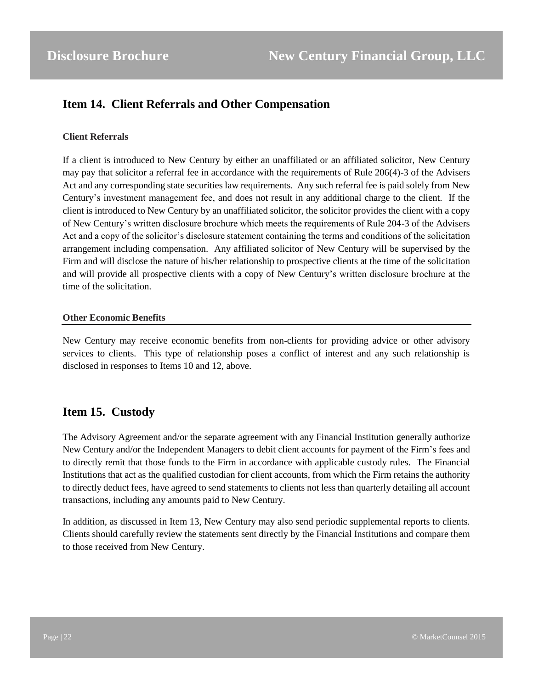## <span id="page-21-0"></span>**Item 14. Client Referrals and Other Compensation**

#### **Client Referrals**

If a client is introduced to New Century by either an unaffiliated or an affiliated solicitor, New Century may pay that solicitor a referral fee in accordance with the requirements of Rule 206(4)-3 of the Advisers Act and any corresponding state securities law requirements. Any such referral fee is paid solely from New Century's investment management fee, and does not result in any additional charge to the client. If the client is introduced to New Century by an unaffiliated solicitor, the solicitor provides the client with a copy of New Century's written disclosure brochure which meets the requirements of Rule 204-3 of the Advisers Act and a copy of the solicitor's disclosure statement containing the terms and conditions of the solicitation arrangement including compensation. Any affiliated solicitor of New Century will be supervised by the Firm and will disclose the nature of his/her relationship to prospective clients at the time of the solicitation and will provide all prospective clients with a copy of New Century's written disclosure brochure at the time of the solicitation.

#### **Other Economic Benefits**

New Century may receive economic benefits from non-clients for providing advice or other advisory services to clients. This type of relationship poses a conflict of interest and any such relationship is disclosed in responses to Items 10 and 12, above.

## <span id="page-21-1"></span>**Item 15. Custody**

The Advisory Agreement and/or the separate agreement with any Financial Institution generally authorize New Century and/or the Independent Managers to debit client accounts for payment of the Firm's fees and to directly remit that those funds to the Firm in accordance with applicable custody rules. The Financial Institutions that act as the qualified custodian for client accounts, from which the Firm retains the authority to directly deduct fees, have agreed to send statements to clients not less than quarterly detailing all account transactions, including any amounts paid to New Century.

In addition, as discussed in Item 13, New Century may also send periodic supplemental reports to clients. Clients should carefully review the statements sent directly by the Financial Institutions and compare them to those received from New Century.